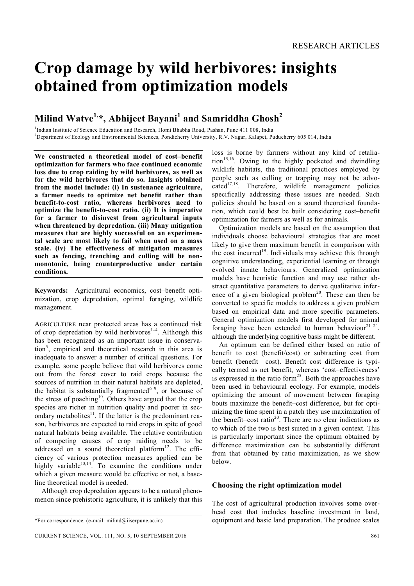# **Crop damage by wild herbivores: insights obtained from optimization models**

# **Milind Watve1, \*, Abhijeet Bayani<sup>1</sup> and Samriddha Ghosh<sup>2</sup>**

<sup>1</sup>Indian Institute of Science Education and Research, Homi Bhabha Road, Pashan, Pune 411 008, India <sup>2</sup>Department of Ecology and Environmental Sciences, Pondicherry University, R.V. Nagar, Kalapet, Puducherry 605 014, India

**We constructed a theoretical model of cost–benefit optimization for farmers who face continued economic loss due to crop raiding by wild herbivores, as well as for the wild herbivores that do so. Insights obtained from the model include: (i) In sustenance agriculture, a farmer needs to optimize net benefit rather than benefit-to-cost ratio, whereas herbivores need to optimize the benefit-to-cost ratio. (ii) It is imperative for a farmer to disinvest from agricultural inputs when threatened by depredation. (iii) Many mitigation measures that are highly successful on an experimental scale are most likely to fail when used on a mass scale. (iv) The effectiveness of mitigation measures such as fencing, trenching and culling will be nonmonotonic, being counterproductive under certain conditions.**

**Keywords:** Agricultural economics, cost–benefit optimization, crop depredation, optimal foraging, wildlife management.

AGRICULTURE near protected areas has a continued risk of crop depredation by wild herbivores<sup>1-4</sup>. Although this has been recognized as an important issue in conservation<sup>5</sup>, empirical and theoretical research in this area is inadequate to answer a number of critical questions. For example, some people believe that wild herbivores come out from the forest cover to raid crops because the sources of nutrition in their natural habitats are depleted, the habitat is substantially fragmented $6-9$ , or because of the stress of poaching<sup>10</sup>. Others have argued that the crop species are richer in nutrition quality and poorer in secondary metabolites $1$ <sup>1</sup>. If the latter is the predominant reason, herbivores are expected to raid crops in spite of good natural habitats being available. The relative contribution of competing causes of crop raiding needs to be addressed on a sound theoretical platform $^{12}$ . The efficiency of various protection measures applied can be highly variable<sup>13,14</sup>. To examine the conditions under which a given measure would be effective or not, a baseline theoretical model is needed.

Although crop depredation appears to be a natural phenomenon since prehistoric agriculture, it is unlikely that this

loss is borne by farmers without any kind of retalia- $\text{tion}^{15,16}$ . Owing to the highly pocketed and dwindling wildlife habitats, the traditional practices employed by people such as culling or trapping may not be advocated $17,18$ . Therefore, wildlife management policies specifically addressing these issues are needed. Such policies should be based on a sound theoretical foundation, which could best be built considering cost–benefit optimization for farmers as well as for animals.

Optimization models are based on the assumption that individuals choose behavioural strategies that are most likely to give them maximum benefit in comparison with the cost incurred<sup>19</sup>. Individuals may achieve this through cognitive understanding, experiential learning or through evolved innate behaviours. Generalized optimization models have heuristic function and may use rather abstract quantitative parameters to derive qualitative inference of a given biological problem<sup>20</sup>. These can then be converted to specific models to address a given problem based on empirical data and more specific parameters. General optimization models first developed for animal foraging have been extended to human behaviour $2^{1-24}$ , although the underlying cognitive basis might be different.

An optimum can be defined either based on ratio of benefit to cost (benefit/cost) or subtracting cost from benefit (benefit – cost). Benefit–cost difference is typically termed as net benefit, whereas 'cost–effectiveness' is expressed in the ratio form<sup>25</sup>. Both the approaches have been used in behavioural ecology. For example, models optimizing the amount of movement between foraging bouts maximize the benefit–cost difference, but for optimizing the time spent in a patch they use maximization of the benefit–cost ratio<sup>20</sup>. There are no clear indications as to which of the two is best suited in a given context. This is particularly important since the optimum obtained by difference maximization can be substantially different from that obtained by ratio maximization, as we show below.

#### **Choosing the right optimization model**

The cost of agricultural production involves some overhead cost that includes baseline investment in land, equipment and basic land preparation. The produce scales

<sup>\*</sup>For correspondence. (e-mail: milind@iiserpune.ac.in)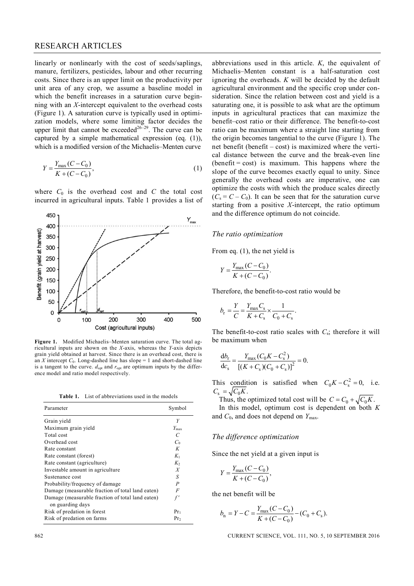#### RESEARCH ARTICLES

linearly or nonlinearly with the cost of seeds/saplings, manure, fertilizers, pesticides, labour and other recurring costs. Since there is an upper limit on the productivity per unit area of any crop, we assume a baseline model in which the benefit increases in a saturation curve beginning with an *X*-intercept equivalent to the overhead costs (Figure 1). A saturation curve is typically used in optimization models, where some limiting factor decides the upper limit that cannot be exceeded<sup>26-29</sup>. The curve can be captured by a simple mathematical expression (eq. (1)), which is a modified version of the Michaelis–Menten curve

$$
Y = \frac{Y_{\text{max}}(C - C_0)}{K + (C - C_0)},
$$
\n(1)

where  $C_0$  is the overhead cost and  $C$  the total cost incurred in agricultural inputs. Table 1 provides a list of



**Figure 1.** Modified Michaelis–Menten saturation curve. The total agricultural inputs are shown on the *X*-axis, whereas the *Y*-axis depicts grain yield obtained at harvest. Since there is an overhead cost, there is an *X* intercept  $C_0$ . Long-dashed line has slope = 1 and short-dashed line is a tangent to the curve.  $d_{opt}$  and  $r_{opt}$  are optimum inputs by the difference model and ratio model respectively.

**Table 1.** List of abbreviations used in the models

| Parameter                                        | Symbol           |
|--------------------------------------------------|------------------|
| Grain yield                                      | Y                |
| Maximum grain yield                              | $Y_{\text{max}}$ |
| Total cost                                       | $\mathcal{C}$    |
| Overhead cost                                    | $C_0$            |
| Rate constant                                    | K                |
| Rate constant (forest)                           | $K_1$            |
| Rate constant (agriculture)                      | $K_{2}$          |
| Investable amount in agriculture                 | X                |
| Sustenance cost                                  | S                |
| Probability/frequency of damage                  | $\boldsymbol{P}$ |
| Damage (measurable fraction of total land eaten) | F                |
| Damage (measurable fraction of total land eaten) |                  |
| on guarding days                                 |                  |
| Risk of predation in forest                      | $Pr_1$           |
| Risk of predation on farms                       | $Pr_2$           |

abbreviations used in this article. *K*, the equivalent of Michaelis–Menten constant is a half-saturation cost ignoring the overheads. *K* will be decided by the default agricultural environment and the specific crop under consideration. Since the relation between cost and yield is a saturating one, it is possible to ask what are the optimum inputs in agricultural practices that can maximize the benefit–cost ratio or their difference. The benefit-to-cost ratio can be maximum where a straight line starting from the origin becomes tangential to the curve (Figure 1). The net benefit (benefit – cost) is maximized where the vertical distance between the curve and the break-even line  $(benefit = cost)$  is maximum. This happens where the slope of the curve becomes exactly equal to unity. Since generally the overhead costs are imperative, one can optimize the costs with which the produce scales directly  $(C_s = C - C_0)$ . It can be seen that for the saturation curve starting from a positive *X*-intercept, the ratio optimum and the difference optimum do not coincide.

#### *The ratio optimization*

From eq. (1), the net yield is

$$
Y = \frac{Y_{\text{max}}(C - C_0)}{K + (C - C_0)}.
$$

Therefore, the benefit-to-cost ratio would be

$$
b_{\rm r} = \frac{Y}{C} = \frac{Y_{\rm max} C_{\rm s}}{K + C_{\rm s}} \times \frac{1}{C_0 + C_{\rm s}}.
$$

The benefit-to-cost ratio scales with  $C_s$ ; therefore it will be maximum when

$$
\frac{d b_r}{d c_s} = \frac{Y_{\text{max}} (C_0 K - C_s^2)}{[(K + C_s)(C_0 + C_s)]^2} = 0.
$$

This condition is satisfied when  $C_0 K - C_s^2 = 0$ , i.e.  $C_{\rm s} = \sqrt{C_0 K}$ .

Thus, the optimized total cost will be  $C = C_0 + \sqrt{C_0 K}$ .

In this model, optimum cost is dependent on both *K* and  $C_0$ , and does not depend on  $Y_{\text{max}}$ .

#### *The difference optimization*

Since the net yield at a given input is

$$
Y = \frac{Y_{\text{max}}(C - C_0)}{K + (C - C_0)},
$$

the net benefit will be

$$
b_{n} = Y - C = \frac{Y_{\text{max}}(C - C_{0})}{K + (C - C_{0})} - (C_{0} + C_{s}).
$$

862 CURRENT SCIENCE, VOL. 111, NO. 5, 10 SEPTEMBER 2016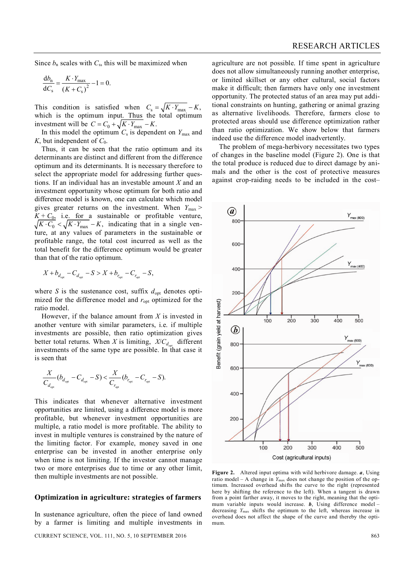Since  $b_n$  scales with  $C_s$ , this will be maximized when

$$
\frac{db_n}{dC_s} = \frac{K \cdot Y_{\text{max}}}{(K + C_s)^2} - 1 = 0.
$$

This condition is satisfied when  $C_s = \sqrt{K \cdot Y_{\text{max}}} - K$ , which is the optimum input. Thus the total optimum investment will be  $C = C_0 + \sqrt{K \cdot Y_{\text{max}}} - K$ .

In this model the optimum  $C_s$  is dependent on  $Y_{\text{max}}$  and *K*, but independent of  $C_0$ .

Thus, it can be seen that the ratio optimum and its determinants are distinct and different from the difference optimum and its determinants. It is necessary therefore to select the appropriate model for addressing further questions. If an individual has an investable amount *X* and an investment opportunity whose optimum for both ratio and difference model is known, one can calculate which model gives greater returns on the investment. When  $Y_{\text{max}}$  >  $K + C_0$ , i.e. for a sustainable or profitable venture,  $\sqrt{K \cdot C_0} < \sqrt{K \cdot Y_{\text{max}}} - K$ , indicating that in a single venture, at any values of parameters in the sustainable or profitable range, the total cost incurred as well as the total benefit for the difference optimum would be greater than that of the ratio optimum.

$$
X + b_{d_{\text{opt}}} - C_{d_{\text{opt}}} - S > X + b_{r_{\text{opt}}} - C_{r_{\text{opt}}} - S,
$$

where *S* is the sustenance cost, suffix  $d_{opt}$  denotes optimized for the difference model and  $r_{opt}$  optimized for the ratio model.

However, if the balance amount from *X* is invested in another venture with similar parameters, i.e. if multiple investments are possible, then ratio optimization gives better total returns. When *X* is limiting,  $X/C_{d_{opt}}$  different investments of the same type are possible. In that case it is seen that

$$
\frac{X}{C_{d_{\text{opt}}}}(b_{d_{\text{opt}}}-C_{d_{\text{opt}}}-S) < \frac{X}{C_{r_{\text{opt}}}}(b_{r_{\text{opt}}}-C_{r_{\text{opt}}}-S).
$$

This indicates that whenever alternative investment opportunities are limited, using a difference model is more profitable, but whenever investment opportunities are multiple, a ratio model is more profitable. The ability to invest in multiple ventures is constrained by the nature of the limiting factor. For example, money saved in one enterprise can be invested in another enterprise only when time is not limiting. If the investor cannot manage two or more enterprises due to time or any other limit, then multiple investments are not possible.

## **Optimization in agriculture: strategies of farmers**

In sustenance agriculture, often the piece of land owned by a farmer is limiting and multiple investments in

CURRENT SCIENCE, VOL. 111, NO. 5, 10 SEPTEMBER 2016 863

agriculture are not possible. If time spent in agriculture does not allow simultaneously running another enterprise, or limited skillset or any other cultural, social factors make it difficult; then farmers have only one investment opportunity. The protected status of an area may put additional constraints on hunting, gathering or animal grazing as alternative livelihoods. Therefore, farmers close to protected areas should use difference optimization rather than ratio optimization. We show below that farmers indeed use the difference model inadvertently.

The problem of mega-herbivory necessitates two types of changes in the baseline model (Figure 2). One is that the total produce is reduced due to direct damage by animals and the other is the cost of protective measures against crop-raiding needs to be included in the cost–



**Figure 2.** Altered input optima with wild herbivore damage. *a*, Using ratio model – A change in  $Y_{\text{max}}$  does not change the position of the optimum. Increased overhead shifts the curve to the right (represented here by shifting the reference to the left). When a tangent is drawn from a point farther away, it moves to the right, meaning that the optimum variable inputs would increase. *b*, Using difference model – decreasing *Y*max shifts the optimum to the left, whereas increase in overhead does not affect the shape of the curve and thereby the optimum.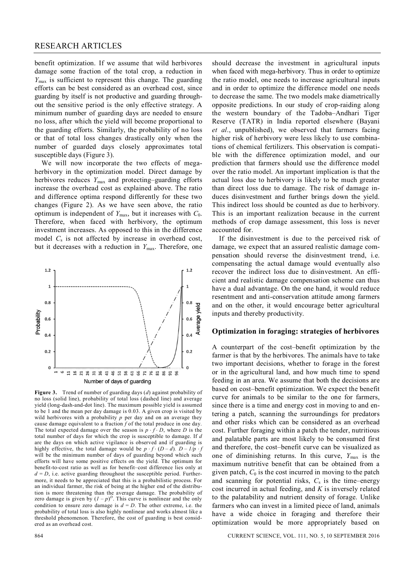benefit optimization. If we assume that wild herbivores damage some fraction of the total crop, a reduction in *Y*max is sufficient to represent this change. The guarding efforts can be best considered as an overhead cost, since guarding by itself is not productive and guarding throughout the sensitive period is the only effective strategy. A minimum number of guarding days are needed to ensure no loss, after which the yield will become proportional to the guarding efforts. Similarly, the probability of no loss or that of total loss changes drastically only when the number of guarded days closely approximates total susceptible days (Figure 3).

We will now incorporate the two effects of megaherbivory in the optimization model. Direct damage by herbivores reduces  $Y_{\text{max}}$  and protecting–guarding efforts increase the overhead cost as explained above. The ratio and difference optima respond differently for these two changes (Figure 2). As we have seen above, the ratio optimum is independent of  $Y_{\text{max}}$ , but it increases with  $C_0$ . Therefore, when faced with herbivory, the optimum investment increases. As opposed to this in the difference model *C*<sup>s</sup> is not affected by increase in overhead cost, but it decreases with a reduction in  $Y_{\text{max}}$ . Therefore, one



**Figure 3.** Trend of number of guarding days (*d*) against probability of no loss (solid line), probability of total loss (dashed line) and average yield (long-dash-and-dot line). The maximum possible yield is assumed to be 1 and the mean per day damage is 0.03. A given crop is visited by wild herbivores with a probability  $p$  per day and on an average they cause damage equivalent to a fraction *f* of the total produce in one day. The total expected damage over the season is  $p \cdot f \cdot D$ , where *D* is the total number of days for which the crop is susceptible to damage. If *d* are the days on which active vigilance is observed and if guarding is highly effective, the total damage would be  $p \cdot f \cdot (D - d)$ .  $D - 1/p \cdot f$ will be the minimum number of days of guarding beyond which such efforts will have some positive effects on the yield. The optimum for benefit-to-cost ratio as well as for benefit–cost difference lies only at  $d = D$ , i.e. active guarding throughout the susceptible period. Furthermore, it needs to be appreciated that this is a probabilistic process. For an individual farmer, the risk of being at the higher end of the distribution is more threatening than the average damage. The probability of zero damage is given by  $(I - p)^D$ . This curve is nonlinear and the only condition to ensure zero damage is  $d = D$ . The other extreme, i.e. the probability of total loss is also highly nonlinear and works almost like a threshold phenomenon. Therefore, the cost of guarding is best considered as an overhead cost.

should decrease the investment in agricultural inputs when faced with mega-herbivory. Thus in order to optimize the ratio model, one needs to increase agricultural inputs and in order to optimize the difference model one needs to decrease the same. The two models make diametrically opposite predictions. In our study of crop-raiding along the western boundary of the Tadoba–Andhari Tiger Reserve (TATR) in India reported elsewhere (Bayani *et al*., unpublished), we observed that farmers facing higher risk of herbivory were less likely to use combinations of chemical fertilizers. This observation is compatible with the difference optimization model, and our prediction that farmers should use the difference model over the ratio model. An important implication is that the actual loss due to herbivory is likely to be much greater than direct loss due to damage. The risk of damage induces disinvestment and further brings down the yield. This indirect loss should be counted as due to herbivory. This is an important realization because in the current methods of crop damage assessment, this loss is never accounted for.

If the disinvestment is due to the perceived risk of damage, we expect that an assured realistic damage compensation should reverse the disinvestment trend, i.e. compensating the actual damage would eventually also recover the indirect loss due to disinvestment. An efficient and realistic damage compensation scheme can thus have a dual advantage. On the one hand, it would reduce resentment and anti-conservation attitude among farmers and on the other, it would encourage better agricultural inputs and thereby productivity.

## **Optimization in foraging: strategies of herbivores**

A counterpart of the cost–benefit optimization by the farmer is that by the herbivores. The animals have to take two important decisions, whether to forage in the forest or in the agricultural land, and how much time to spend feeding in an area. We assume that both the decisions are based on cost–benefit optimization. We expect the benefit curve for animals to be similar to the one for farmers, since there is a time and energy cost in moving to and entering a patch, scanning the surroundings for predators and other risks which can be considered as an overhead cost. Further foraging within a patch the tender, nutritious and palatable parts are most likely to be consumed first and therefore, the cost–benefit curve can be visualized as one of diminishing returns. In this curve,  $Y_{\text{max}}$  is the maximum nutritive benefit that can be obtained from a given patch,  $C_0$  is the cost incurred in moving to the patch and scanning for potential risks,  $C_s$  is the time–energy cost incurred in actual feeding, and *K* is inversely related to the palatability and nutrient density of forage. Unlike farmers who can invest in a limited piece of land, animals have a wide choice in foraging and therefore their optimization would be more appropriately based on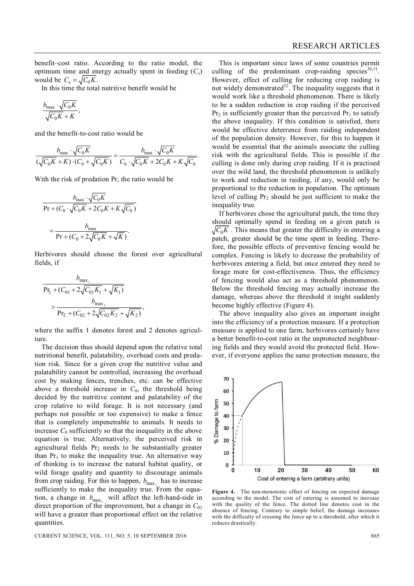benefit–cost ratio. According to the ratio model, the optimum time and energy actually spent in feeding  $(C_s)$ would be  $C_s = \sqrt{C_0 K}$ .

In this time the total nutritive benefit would be

$$
\frac{b_{\max} \cdot \sqrt{C_0 K}}{\sqrt{C_0 K} + K},
$$

and the benefit-to-cost ratio would be

$$
\frac{b_{\max} \cdot \sqrt{C_0 K}}{(\sqrt{C_0 K} + K) \cdot (C_0 + \sqrt{C_0 K})} = \frac{b_{\max} \cdot \sqrt{C_0 K}}{C_0 \cdot \sqrt{C_0 K} + 2C_0 K + K \sqrt{C_0}}.
$$

With the risk of predation Pr, the ratio would be

$$
b_{\max} \cdot \sqrt{C_0 K}
$$
  
Pr + (C<sub>0</sub> ·  $\sqrt{C_0 K}$  + 2C<sub>0</sub>K + K $\sqrt{C_0}$ )  
= 
$$
\frac{b_{\max}}{\Pr + (C_0 + 2\sqrt{C_0 K} + \sqrt{K})}.
$$

Herbivores should choose the forest over agricultural fields, if

$$
\frac{b_{\max_1}}{\Pr_1 + (C_{01} + 2\sqrt{C_{01}K_1} + \sqrt{K_1})}
$$
\n
$$
> \frac{b_{\max_2}}{\Pr_2 + (C_{02} + 2\sqrt{C_{02}K_2} + \sqrt{K_2})},
$$

where the suffix 1 denotes forest and 2 denotes agriculture

The decision thus should depend upon the relative total nutritional benefit, palatability, overhead costs and predation risk. Since for a given crop the nutritive value and palatability cannot be controlled, increasing the overhead cost by making fences, trenches, etc. can be effective above a threshold increase in *C*0, the threshold being decided by the nutritive content and palatability of the crop relative to wild forage. It is not necessary (and perhaps not possible or too expensive) to make a fence that is completely impenetrable to animals. It needs to increase  $C_0$  sufficiently so that the inequality in the above equation is true. Alternatively, the perceived risk in agricultural fields  $Pr<sub>2</sub>$  needs to be substantially greater than  $Pr_1$  to make the inequality true. An alternative way of thinking is to increase the natural habitat quality, or wild forage quality and quantity to discourage animals from crop raiding. For this to happen,  $b_{\text{max}_1}$  has to increase sufficiently to make the inequality true. From the equation, a change in  $b_{\max_1}$  will affect the left-hand-side in direct proportion of the improvement, but a change in *C*<sup>02</sup> will have a greater than proportional effect on the relative quantities.

This is important since laws of some countries permit culling of the predominant crop-raiding species  $30,31$ . However, effect of culling for reducing crop raiding is not widely demonstrated $32$ . The inequality suggests that it would work like a threshold phenomenon. There is likely to be a sudden reduction in crop raiding if the perceived  $Pr<sub>2</sub>$  is sufficiently greater than the perceived  $Pr<sub>1</sub>$  to satisfy the above inequality. If this condition is satisfied, there would be effective deterrence from raiding independent of the population density. However, for this to happen it would be essential that the animals associate the culling risk with the agricultural fields. This is possible if the culling is done only during crop raiding. If it is practised over the wild land, the threshold phenomenon is unlikely to work and reduction in raiding, if any, would only be proportional to the reduction in population. The optimum level of culling  $Pr_2$  should be just sufficient to make the inequality true.

If herbivores chose the agricultural patch, the time they should optimally spend in feeding on a given patch is  $C_0K$ . This means that greater the difficulty in entering a patch, greater should be the time spent in feeding. Therefore, the possible effects of preventive fencing would be complex. Fencing is likely to decrease the probability of herbivores entering a field, but once entered they need to forage more for cost-effectiveness. Thus, the efficiency of fencing would also act as a threshold phenomenon. Below the threshold fencing may actually increase the damage, whereas above the threshold it might suddenly become highly effective (Figure 4).

The above inequality also gives an important insight into the efficiency of a protection measure. If a protection measure is applied to one farm, herbivores certainly have a better benefit-to-cost ratio in the unprotected neighbouring fields and they would avoid the protected field. However, if everyone applies the same protection measure, the



**Figure 4.** The non-monotonic effect of fencing on expected damage according to the model. The cost of entering is assumed to increase with the quality of the fence. The dotted line denotes cost in the absence of fencing. Contrary to simple belief, the damage increases with the difficulty of crossing the fence up to a threshold, after which it reduces drastically.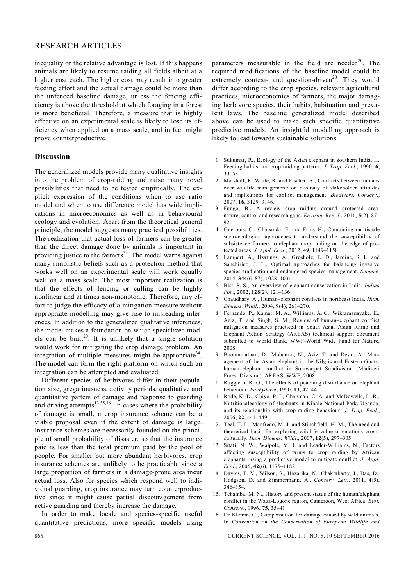#### RESEARCH ARTICLES

inequality or the relative advantage is lost. If this happens animals are likely to resume raiding all fields albeit at a higher cost each. The higher cost may result into greater feeding effort and the actual damage could be more than the unfenced baseline damage, unless the fencing efficiency is above the threshold at which foraging in a forest is more beneficial. Therefore, a measure that is highly effective on an experimental scale is likely to lose its efficiency when applied on a mass scale, and in fact might prove counterproductive.

#### **Discussion**

The generalized models provide many qualitative insights into the problem of crop-raiding and raise many novel possibilities that need to be tested empirically. The explicit expression of the conditions when to use ratio model and when to use difference model has wide implications in microeconomics as well as in behavioural ecology and evolution. Apart from the theoretical general principle, the model suggests many practical possibilities. The realization that actual loss of farmers can be greater than the direct damage done by animals is important in providing justice to the farmers $33$ . The model warns against many simplistic beliefs such as a protection method that works well on an experimental scale will work equally well on a mass scale. The most important realization is that the effects of fencing or culling can be highly nonlinear and at times non-monotonic. Therefore, any effort to judge the efficacy of a mitigation measure without appropriate modelling may give rise to misleading inferences. In addition to the generalized qualitative inferences, the model makes a foundation on which specialized models can be built<sup>20</sup>. It is unlikely that a single solution would work for mitigating the crop damage problem. An integration of multiple measures might be appropriate<sup>34</sup>. The model can form the right platform on which such an integration can be attempted and evaluated.

Different species of herbivores differ in their population size, gregariousness, activity periods, qualitative and quantitative patters of damage and response to guarding and driving attempts<sup>13,35,36</sup>. In cases where the probability of damage is small, a crop insurance scheme can be a viable proposal even if the extent of damage is large. Insurance schemes are necessarily founded on the principle of small probability of disaster, so that the insurance paid is less than the total premium paid by the pool of people. For smaller but more abundant herbivores, crop insurance schemes are unlikely to be practicable since a large proportion of farmers in a damage-prone area incur actual loss. Also for species which respond well to individual guarding, crop insurance may turn counterproductive since it might cause partial discouragement from active guarding and thereby increase the damage.

In order to make locale and species-specific useful quantitative predictions, more specific models using parameters measurable in the field are needed<sup>20</sup>. The required modifications of the baseline model could be extremely context- and question-driven<sup>20</sup>. They would differ according to the crop species, relevant agricultural practices, microeconomics of farmers, the major damaging herbivore species, their habits, habituation and prevalent laws. The baseline generalized model described above can be used to make such specific quantitative predictive models. An insightful modelling approach is likely to lead towards sustainable solutions.

- 1. Sukumar, R., Ecology of the Asian elephant in southern India. II. Feeding habits and crop raiding patterns. *J. Trop. Ecol.*, 1990, **6**, 33–53.
- 2. Marshall, K. White, R. and Fischer, A., Conflicts between humans over wildlife management: on diversity of stakeholder attitudes and implications for conflict management. *Biodivers. Conserv*., 2007, **16**, 3129–3146.
- 3. Fungo, B., A review crop raiding around protected area: nature, control and research gaps. *Environ. Res. J.*, 2011, **5**(2), 87– 92.
- 4. Guerbois, C., Chapanda, E. and Frtiz, H., Combining multiscale socio-ecological approaches to understand the susceptibility of subsistence farmers to elephant crop raiding on the edge of protected areas. *J. Appl. Ecol*., 2012, **49**, 1149–1158.
- 5. Lampert, A., Hsatings, A., Grosholz, E. D., Jardine, S. L. and Sanchirico, J. L., Optimal approaches for balancing invasive species eradication and endangered species management. *Science*, 2014, **344**(6187), 1028–1031.
- 6. Bist, S. S., An overview of elephant conservation in India. *Indian For*., 2002, **128**(2), 121–136.
- 7. Chaudhary, A., Human–elephant conflicts in northeast India. *Hum. Dimens. Wildl*., 2004, **9**(4), 261–270.
- 8. Fernando, P., Kumar, M. A., Williams, A. C., Wikramanayake, E., Aziz, T. and Singh, S. M., Review of human–elephant conflict mitigation measures practiced in South Asia. Asian Rhino and Elephant Action Strategy (AREAS) technical support document submitted to World Bank, WWF-World Wide Fund for Nature, 2008.
- 9. Bhoominathan, D., Mohanraj, N., Aziz, T. and Desai, A., Management of the Asian elephant in the Nilgris and Eastern Ghats: human–elephant conflict in Somwarpet Subdivision (Madikeri Forest Division). AREAS, WWF, 2008.
- 10. Ruggiero, R. G., The effects of poaching disturbance on elephant behaviour. *Pachyderm*, 1990, **13**, 42–44.
- 11. Rode, K. D., Chiyo, P. I., Chapman, C. A. and McDowells, L. R., Nutritionalecology of elephants in Kibale National Park, Uganda, and its relationship with crop-raiding behaviour. *J. Trop. Ecol.*, 2006, **22**, 441–449.
- 12. Teel, T. L., Manfredo, M. J. and Stinchfield, H. M., The need and theoretical basis for exploring wildlife value orientations crossculturally. *Hum. Dimens. Wildl*., 2007, **12**(5), 297–305.
- 13. Sitati, N. W., Walpole, M. J. and Leader-Williams, N., Factors affecting susceptibility of farms to crop raiding by African elephants: using a predictive model to mitigate conflict. *J. Appl. Ecol*., 2005, **42**(6), 1175–1182.
- 14. Davies, T. V., Wilson, S., Hazarika, N., Chakrabarty, J., Das, D., Hodgson, D. and Zimmermann, A., *Conserv. Lett*., 2011, **4**(5), 346–354.
- 15. Tchamba, M. N., History and present status of the human/elephant conflict in the Waza-Logone region, Cameroon, West Africa. *Biol. Conserv*., 1996, **75**, 35–41.
- 16. De Klemm, C., Compensation for damage caused by wild animals. In *Convention on the Conservation of European Wildlife and*

866 CURRENT SCIENCE, VOL. 111, NO. 5, 10 SEPTEMBER 2016